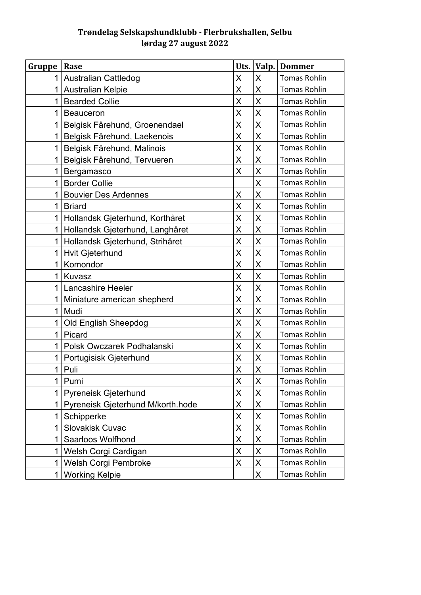## **Trøndelag Selskapshundklubb - Flerbrukshallen, Selbu lørdag 27 august 2022**

| Gruppe       | Rase                              | Uts.                    | Valp.              | <b>Dommer</b>       |
|--------------|-----------------------------------|-------------------------|--------------------|---------------------|
| 1            | <b>Australian Cattledog</b>       | X                       | X                  | <b>Tomas Rohlin</b> |
| 1            | Australian Kelpie                 | X                       | $\pmb{\mathsf{X}}$ | <b>Tomas Rohlin</b> |
| 1            | <b>Bearded Collie</b>             | $\overline{\mathsf{X}}$ | X                  | <b>Tomas Rohlin</b> |
| 1            | <b>Beauceron</b>                  | X                       | X                  | <b>Tomas Rohlin</b> |
| 1            | Belgisk Fårehund, Groenendael     | $\overline{\mathsf{X}}$ | $\sf X$            | <b>Tomas Rohlin</b> |
| 1            | Belgisk Fårehund, Laekenois       | X                       | X                  | <b>Tomas Rohlin</b> |
| 1            | Belgisk Fårehund, Malinois        | X                       | X                  | <b>Tomas Rohlin</b> |
| $\mathbf{1}$ | Belgisk Fårehund, Tervueren       | X                       | X                  | <b>Tomas Rohlin</b> |
| 1            | Bergamasco                        | X                       | X                  | <b>Tomas Rohlin</b> |
| 1            | <b>Border Collie</b>              |                         | X                  | <b>Tomas Rohlin</b> |
| 1            | <b>Bouvier Des Ardennes</b>       | X                       | X                  | <b>Tomas Rohlin</b> |
| $\mathbf{1}$ | <b>Briard</b>                     | X                       | X                  | <b>Tomas Rohlin</b> |
|              | 1 Hollandsk Gjeterhund, Korthåret | X                       | X                  | <b>Tomas Rohlin</b> |
| $\mathbf 1$  | Hollandsk Gjeterhund, Langhåret   | X                       | X                  | <b>Tomas Rohlin</b> |
| 1            | Hollandsk Gjeterhund, Strihåret   | X                       | $\mathsf X$        | <b>Tomas Rohlin</b> |
| $\mathbf{1}$ | <b>Hvit Gjeterhund</b>            | X                       | X                  | <b>Tomas Rohlin</b> |
| 1            | Komondor                          | X                       | $\sf X$            | <b>Tomas Rohlin</b> |
| 1            | Kuvasz                            | X                       | X                  | <b>Tomas Rohlin</b> |
| $\mathbf 1$  | Lancashire Heeler                 | X                       | $\sf X$            | <b>Tomas Rohlin</b> |
| 1            | Miniature american shepherd       | X                       | X                  | <b>Tomas Rohlin</b> |
| $\mathbf 1$  | Mudi                              | X                       | X                  | <b>Tomas Rohlin</b> |
|              | 1 Old English Sheepdog            | X                       | X                  | <b>Tomas Rohlin</b> |
| 1            | Picard                            | X                       | $\mathsf X$        | <b>Tomas Rohlin</b> |
| $\mathbf 1$  | Polsk Owczarek Podhalanski        | X                       | X                  | <b>Tomas Rohlin</b> |
| 1            | Portugisisk Gjeterhund            | X                       | $\mathsf X$        | <b>Tomas Rohlin</b> |
| 1            | Puli                              | X                       | $\pmb{\mathsf{X}}$ | <b>Tomas Rohlin</b> |
| 1            | Pumi                              | X                       | $\sf X$            | <b>Tomas Rohlin</b> |
| $\mathbf{1}$ | Pyreneisk Gjeterhund              | X                       | X                  | <b>Tomas Rohlin</b> |
| 1            | Pyreneisk Gjeterhund M/korth.hode | X                       | $\pmb{\mathsf{X}}$ | <b>Tomas Rohlin</b> |
| 1            | Schipperke                        | X                       | $\pmb{\mathsf{X}}$ | <b>Tomas Rohlin</b> |
| 1            | <b>Slovakisk Cuvac</b>            | X                       | $\mathsf X$        | <b>Tomas Rohlin</b> |
| 1            | Saarloos Wolfhond                 | X                       | Χ                  | <b>Tomas Rohlin</b> |
| 1            | Welsh Corgi Cardigan              | X                       | $\pmb{\mathsf{X}}$ | <b>Tomas Rohlin</b> |
| 1            | Welsh Corgi Pembroke              | X                       | Χ                  | <b>Tomas Rohlin</b> |
| 1            | <b>Working Kelpie</b>             |                         | X                  | <b>Tomas Rohlin</b> |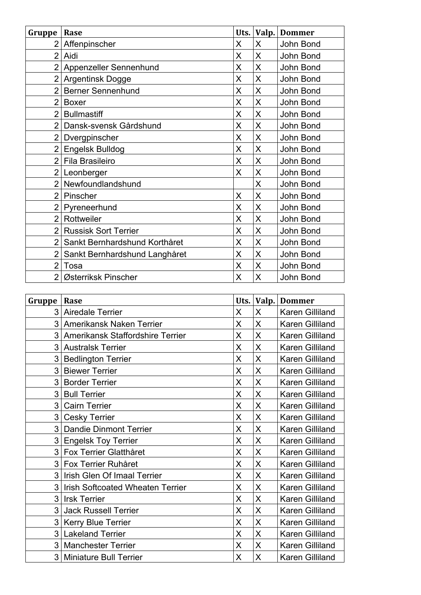| Gruppe         | Rase                          | Uts. | Valp. | <b>Dommer</b> |
|----------------|-------------------------------|------|-------|---------------|
|                | 2 Affenpinscher               | X    | X     | John Bond     |
| $\overline{2}$ | Aidi                          | X    | X     | John Bond     |
|                | 2 Appenzeller Sennenhund      | X    | X     | John Bond     |
|                | 2 Argentinsk Dogge            | X    | X     | John Bond     |
| $\overline{2}$ | <b>Berner Sennenhund</b>      | X    | X     | John Bond     |
| $\overline{2}$ | <b>Boxer</b>                  | X    | X     | John Bond     |
| $\overline{2}$ | <b>Bullmastiff</b>            | Χ    | Χ     | John Bond     |
| $\overline{2}$ | Dansk-svensk Gårdshund        | X    | X     | John Bond     |
| $\overline{2}$ | Dvergpinscher                 | X    | X     | John Bond     |
| 2              | <b>Engelsk Bulldog</b>        | X    | X     | John Bond     |
| $\overline{2}$ | Fila Brasileiro               | X    | X     | John Bond     |
| $\overline{2}$ | Leonberger                    | X    | X     | John Bond     |
|                | 2 Newfoundlandshund           |      | X     | John Bond     |
| $\overline{2}$ | Pinscher                      | X    | X     | John Bond     |
| $\overline{2}$ | Pyreneerhund                  | X    | X     | John Bond     |
|                | 2 Rottweiler                  | X    | X     | John Bond     |
| $\overline{2}$ | <b>Russisk Sort Terrier</b>   | X    | X     | John Bond     |
| $\overline{2}$ | Sankt Bernhardshund Korthåret | X    | X     | John Bond     |
| $\overline{2}$ | Sankt Bernhardshund Langhåret | X    | X     | John Bond     |
| $\overline{2}$ | Tosa                          | Χ    | Χ     | John Bond     |
|                | 2 Østerriksk Pinscher         | X    | X     | John Bond     |

| Gruppe | Rase                               | Uts.               | Valp.              | <b>Dommer</b>   |
|--------|------------------------------------|--------------------|--------------------|-----------------|
|        | 3 Airedale Terrier                 | X                  | X                  | Karen Gilliland |
|        | 3 Amerikansk Naken Terrier         | X                  | X                  | Karen Gilliland |
|        | 3 Amerikansk Staffordshire Terrier | X                  | X                  | Karen Gilliland |
|        | 3 Australsk Terrier                | $\pmb{\mathsf{X}}$ | X                  | Karen Gilliland |
| 3      | <b>Bedlington Terrier</b>          | X                  | X                  | Karen Gilliland |
|        | 3 Biewer Terrier                   | X                  | X                  | Karen Gilliland |
|        | 3 Border Terrier                   | X                  | X                  | Karen Gilliland |
|        | 3 Bull Terrier                     | X                  | X                  | Karen Gilliland |
|        | 3 Cairn Terrier                    | X                  | X                  | Karen Gilliland |
| 3      | <b>Cesky Terrier</b>               | X                  | X                  | Karen Gilliland |
|        | 3 Dandie Dinmont Terrier           | X                  | X                  | Karen Gilliland |
|        | 3 Engelsk Toy Terrier              | X                  | $\sf X$            | Karen Gilliland |
|        | 3 Fox Terrier Glatthåret           | X                  | X                  | Karen Gilliland |
|        | 3 Fox Terrier Ruhåret              | $\pmb{\mathsf{X}}$ | $\pmb{\mathsf{X}}$ | Karen Gilliland |
|        | 3 Irish Glen Of Imaal Terrier      | X                  | X                  | Karen Gilliland |
|        | 3 Irish Softcoated Wheaten Terrier | X                  | X                  | Karen Gilliland |
|        | 3 Irsk Terrier                     | X                  | X                  | Karen Gilliland |
|        | 3 Jack Russell Terrier             | X                  | X                  | Karen Gilliland |
|        | 3   Kerry Blue Terrier             | X                  | X                  | Karen Gilliland |
|        | 3 Lakeland Terrier                 | X                  | X                  | Karen Gilliland |
|        | 3 Manchester Terrier               | X                  | $\pmb{\mathsf{X}}$ | Karen Gilliland |
|        | 3 Miniature Bull Terrier           | X                  | X                  | Karen Gilliland |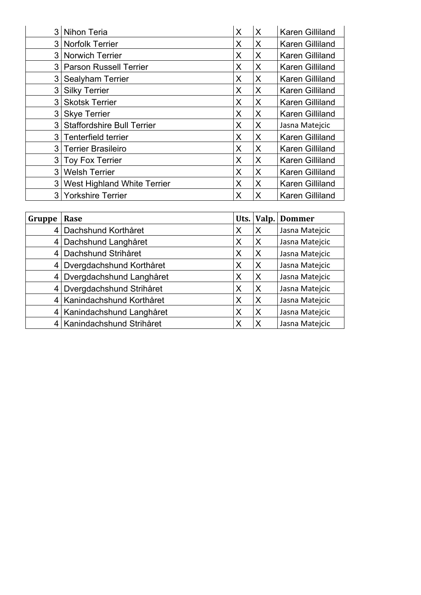| 3 Nihon Teria                 | X | X | <b>Karen Gilliland</b> |
|-------------------------------|---|---|------------------------|
| 3 Norfolk Terrier             | X | X | <b>Karen Gilliland</b> |
| 3 Norwich Terrier             | X | X | Karen Gilliland        |
| 3 Parson Russell Terrier      | X | X | Karen Gilliland        |
| 3 Sealyham Terrier            | X | X | Karen Gilliland        |
| 3 Silky Terrier               | X | X | <b>Karen Gilliland</b> |
| 3 Skotsk Terrier              | X | X | Karen Gilliland        |
| 3 Skye Terrier                | X | X | <b>Karen Gilliland</b> |
| 3 Staffordshire Bull Terrier  | X | X | Jasna Matejcic         |
| 3 Tenterfield terrier         | X | X | <b>Karen Gilliland</b> |
| 3 Terrier Brasileiro          | X | X | Karen Gilliland        |
| 3 Toy Fox Terrier             | X | X | <b>Karen Gilliland</b> |
| 3 Welsh Terrier               | X | X | Karen Gilliland        |
| 3 West Highland White Terrier | Χ | X | Karen Gilliland        |
| 3 Yorkshire Terrier           | X | X | Karen Gilliland        |

| Gruppe          | Rase                       |   | Uts. Valp.                | <b>Dommer</b>  |
|-----------------|----------------------------|---|---------------------------|----------------|
| $\vert 4 \vert$ | Dachshund Korthåret        | X | $\boldsymbol{\mathsf{X}}$ | Jasna Matejcic |
| $\overline{4}$  | Dachshund Langhåret        | X | $\boldsymbol{\mathsf{X}}$ | Jasna Matejcic |
|                 | 4 Dachshund Strihåret      | X | $\times$                  | Jasna Matejcic |
| 4               | Dvergdachshund Korthåret   | X | X                         | Jasna Matejcic |
| 4               | Dvergdachshund Langhåret   | X | $\times$                  | Jasna Matejcic |
|                 | 4 Dvergdachshund Strihåret | X | $\times$                  | Jasna Matejcic |
|                 | 4 Kanindachshund Korthåret | X | $\boldsymbol{\mathsf{X}}$ | Jasna Matejcic |
|                 | 4 Kanindachshund Langhåret | X | $\mathsf{X}$              | Jasna Matejcic |
|                 | 4 Kanindachshund Strihåret | X | Χ                         | Jasna Matejcic |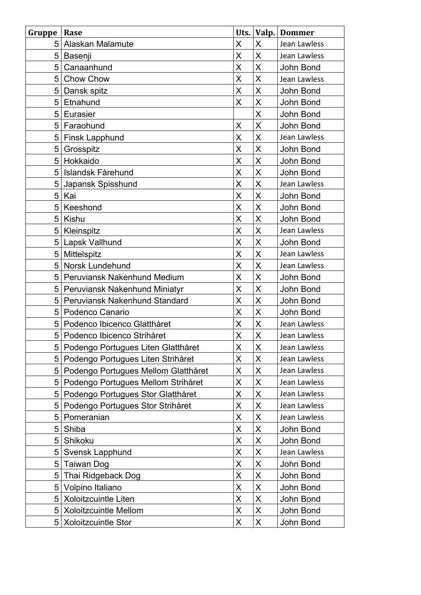| Gruppe | Rase                                | Uts. $ $                |                         | Valp. Dommer |
|--------|-------------------------------------|-------------------------|-------------------------|--------------|
| 5      | Alaskan Malamute                    | X                       | X                       | Jean Lawless |
| 5      | Basenji                             | X                       | X                       | Jean Lawless |
| 5      | Canaanhund                          | X                       | X                       | John Bond    |
| 5      | Chow Chow                           | X                       | X                       | Jean Lawless |
| 5      | Dansk spitz                         | $\overline{\mathsf{X}}$ | X                       | John Bond    |
| 5      | Etnahund                            | X                       | X                       | John Bond    |
| 5      | Eurasier                            |                         | X                       | John Bond    |
| 5      | Faraohund                           | X                       | X                       | John Bond    |
| 5      | <b>Finsk Lapphund</b>               | X                       | X                       | Jean Lawless |
| 5      | Grosspitz                           | X                       | X                       | John Bond    |
| 5      | Hokkaido                            | X                       | X                       | John Bond    |
| 5      | Islandsk Fårehund                   | X                       | X                       | John Bond    |
| 5      | Japansk Spisshund                   | $\overline{\mathsf{X}}$ | X                       | Jean Lawless |
| 5      | Kai                                 | X                       | X                       | John Bond    |
| 5      | Keeshond                            | X                       | X                       | John Bond    |
| 5      | Kishu                               | X                       | X                       | John Bond    |
| 5      | Kleinspitz                          | $\overline{\mathsf{X}}$ | X                       | Jean Lawless |
| 5      | Lapsk Vallhund                      | X                       | X                       | John Bond    |
| 5      | Mittelspitz                         | $\overline{\mathsf{X}}$ | X                       | Jean Lawless |
| 5      | Norsk Lundehund                     | X                       | X                       | Jean Lawless |
| 5      | Peruviansk Nakenhund Medium         | $\overline{\mathsf{X}}$ | $\overline{\mathsf{X}}$ | John Bond    |
| 5      | Peruviansk Nakenhund Miniatyr       | X                       | X                       | John Bond    |
| 5      | Peruviansk Nakenhund Standard       | X                       | X                       | John Bond    |
| 5      | Podenco Canario                     | X                       | X                       | John Bond    |
| 5      | Podenco Ibicenco Glatthåret         | X                       | X                       | Jean Lawless |
| 5      | Podenco Ibicenco Strihåret          | X                       | X                       | Jean Lawless |
| 5      | Podengo Portugues Liten Glatthåret  | Χ                       | X                       | Jean Lawless |
| 5      | Podengo Portugues Liten Strihåret   | X                       | X                       | Jean Lawless |
| 5      | Podengo Portugues Mellom Glatthåret | X                       | X                       | Jean Lawless |
| 5      | Podengo Portugues Mellom Strihåret  | X                       | Χ                       | Jean Lawless |
| 5      | Podengo Portugues Stor Glatthåret   | X                       | X                       | Jean Lawless |
| 5      | Podengo Portugues Stor Strihåret    | X                       | Χ                       | Jean Lawless |
| 5      | Pomeranian                          | $\overline{\mathsf{X}}$ | X                       | Jean Lawless |
| 5      | Shiba                               | X                       | Χ                       | John Bond    |
| 5      | Shikoku                             | X                       | X                       | John Bond    |
| 5      | Svensk Lapphund                     | X                       | Χ                       | Jean Lawless |
| 5      | <b>Taiwan Dog</b>                   | $\overline{\mathsf{X}}$ | X                       | John Bond    |
| 5      | Thai Ridgeback Dog                  | X                       | Χ                       | John Bond    |
| 5      | Volpino Italiano                    | X                       | X                       | John Bond    |
| 5      | Xoloitzcuintle Liten                | X                       | X                       | John Bond    |
| 5      | Xoloitzcuintle Mellom               | X                       | Χ                       | John Bond    |
| 5      | <b>Xoloitzcuintle Stor</b>          | X                       | X                       | John Bond    |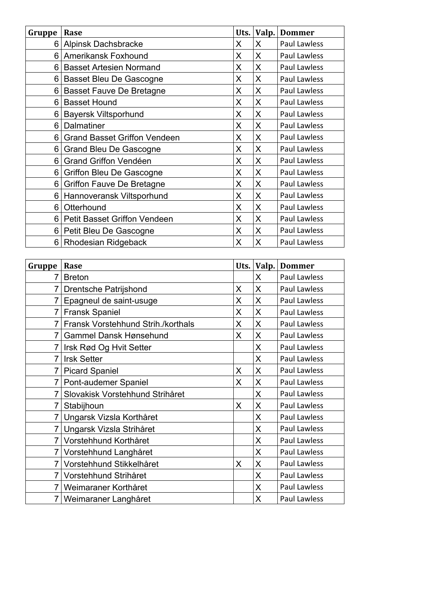| Gruppe | Rase                                | Uts. | Valp. | <b>Dommer</b>       |
|--------|-------------------------------------|------|-------|---------------------|
| 6      | Alpinsk Dachsbracke                 | X    | X     | <b>Paul Lawless</b> |
| 6      | <b>Amerikansk Foxhound</b>          | X    | X     | Paul Lawless        |
|        | 6 Basset Artesien Normand           | X    | X     | Paul Lawless        |
|        | 6 Basset Bleu De Gascogne           | X    | X     | <b>Paul Lawless</b> |
|        | 6 Basset Fauve De Bretagne          | X    | X     | Paul Lawless        |
| 6      | <b>Basset Hound</b>                 | X    | X     | Paul Lawless        |
| 6      | <b>Bayersk Viltsporhund</b>         | X    | X     | Paul Lawless        |
| 6      | Dalmatiner                          | X    | X     | Paul Lawless        |
| 6      | <b>Grand Basset Griffon Vendeen</b> | X    | X     | Paul Lawless        |
| 6      | <b>Grand Bleu De Gascogne</b>       | X    | X     | Paul Lawless        |
| 6      | Grand Griffon Vendéen               | X    | X     | Paul Lawless        |
| 6      | Griffon Bleu De Gascogne            | X    | X     | Paul Lawless        |
| 6      | <b>Griffon Fauve De Bretagne</b>    | X    | X     | Paul Lawless        |
| 6      | Hannoveransk Viltsporhund           | X    | X     | Paul Lawless        |
| 6      | Otterhound                          | X    | X     | Paul Lawless        |
| 6      | Petit Basset Griffon Vendeen        | X    | X     | Paul Lawless        |
| 6      | Petit Bleu De Gascogne              | X    | X     | Paul Lawless        |
| 6      | <b>Rhodesian Ridgeback</b>          | X    | X     | <b>Paul Lawless</b> |

| Gruppe         | Rase                               | Uts. | Valp. | <b>Dommer</b>       |
|----------------|------------------------------------|------|-------|---------------------|
| 7              | <b>Breton</b>                      |      | X     | <b>Paul Lawless</b> |
| 7              | Drentsche Patrijshond              | X    | X     | Paul Lawless        |
| 7              | Epagneul de saint-usuge            | X    | X     | Paul Lawless        |
| 7              | <b>Fransk Spaniel</b>              | X    | X     | Paul Lawless        |
|                | Fransk Vorstehhund Strih./korthals | X    | X     | <b>Paul Lawless</b> |
| 7              | <b>Gammel Dansk Hønsehund</b>      | X    | X     | <b>Paul Lawless</b> |
|                | Irsk Rød Og Hvit Setter            |      | X     | <b>Paul Lawless</b> |
| 7              | <b>Irsk Setter</b>                 |      | X     | Paul Lawless        |
| $\overline{7}$ | <b>Picard Spaniel</b>              | X    | X     | <b>Paul Lawless</b> |
| 7              | Pont-audemer Spaniel               | X    | X     | <b>Paul Lawless</b> |
| 7              | Slovakisk Vorstehhund Strihåret    |      | X     | Paul Lawless        |
|                | Stabijhoun                         | X    | X     | Paul Lawless        |
| $\overline{7}$ | Ungarsk Vizsla Korthåret           |      | X     | Paul Lawless        |
| 7              | Ungarsk Vizsla Strihåret           |      | X     | Paul Lawless        |
| $\overline{7}$ | Vorstehhund Korthåret              |      | X     | Paul Lawless        |
| $\overline{7}$ | Vorstehhund Langhåret              |      | X     | Paul Lawless        |
| 7              | Vorstehhund Stikkelhåret           | X    | X     | Paul Lawless        |
| $\overline{7}$ | Vorstehhund Strihåret              |      | X     | <b>Paul Lawless</b> |
| $\overline{7}$ | Weimaraner Korthåret               |      | X     | <b>Paul Lawless</b> |
|                | 7 Weimaraner Langhåret             |      | X     | Paul Lawless        |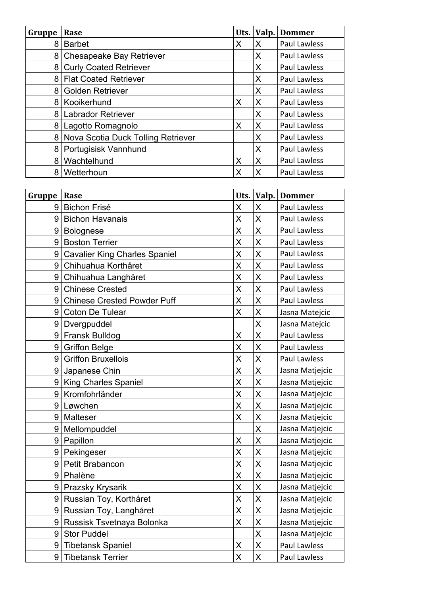| Gruppe | Rase                               | Uts. | Valp. | <b>Dommer</b>       |
|--------|------------------------------------|------|-------|---------------------|
| 8      | <b>Barbet</b>                      | X    | X     | Paul Lawless        |
|        | 8 Chesapeake Bay Retriever         |      | X     | Paul Lawless        |
| 8      | <b>Curly Coated Retriever</b>      |      | X     | <b>Paul Lawless</b> |
| 8      | <b>Flat Coated Retriever</b>       |      | X     | <b>Paul Lawless</b> |
| 8      | <b>Golden Retriever</b>            |      | X     | <b>Paul Lawless</b> |
|        | 8 Kooikerhund                      | X    | X     | Paul Lawless        |
| 8      | Labrador Retriever                 |      | X     | <b>Paul Lawless</b> |
| 8      | Lagotto Romagnolo                  | X    | X     | <b>Paul Lawless</b> |
| 8      | Nova Scotia Duck Tolling Retriever |      | X     | <b>Paul Lawless</b> |
|        | 8   Portugisisk Vannhund           |      | X     | Paul Lawless        |
| 8      | Wachtelhund                        | Χ    | X     | Paul Lawless        |
| 8      | Wetterhoun                         | X    | X     | <b>Paul Lawless</b> |

| Gruppe | Rase                                 | Uts. | Valp.              | <b>Dommer</b>       |
|--------|--------------------------------------|------|--------------------|---------------------|
| 9      | <b>Bichon Frisé</b>                  | X    | X                  | Paul Lawless        |
| 9      | <b>Bichon Havanais</b>               | X    | X                  | Paul Lawless        |
| 9      | <b>Bolognese</b>                     | X    | X                  | Paul Lawless        |
| 9      | <b>Boston Terrier</b>                | X    | X                  | Paul Lawless        |
| 9      | <b>Cavalier King Charles Spaniel</b> | X    | $\sf X$            | Paul Lawless        |
| 9      | Chihuahua Korthåret                  | X    | $\sf X$            | <b>Paul Lawless</b> |
| 9      | Chihuahua Langhåret                  | X    | X                  | <b>Paul Lawless</b> |
| 9      | <b>Chinese Crested</b>               | X    | X                  | <b>Paul Lawless</b> |
| 9      | <b>Chinese Crested Powder Puff</b>   | X    | $\sf X$            | Paul Lawless        |
| 9      | <b>Coton De Tulear</b>               | X    | $\sf X$            | Jasna Matejcic      |
| 9      | Dvergpuddel                          |      | X                  | Jasna Matejcic      |
| 9      | <b>Fransk Bulldog</b>                | X    | X                  | Paul Lawless        |
| 9      | <b>Griffon Belge</b>                 | X    | $\sf X$            | <b>Paul Lawless</b> |
| 9      | <b>Griffon Bruxellois</b>            | X    | $\sf X$            | Paul Lawless        |
| 9      | Japanese Chin                        | X    | X                  | Jasna Matjejcic     |
| 9      | <b>King Charles Spaniel</b>          | X    | X                  | Jasna Matjejcic     |
| 9      | Kromfohrländer                       | X    | $\sf X$            | Jasna Matjejcic     |
| 9      | Løwchen                              | X    | $\sf X$            | Jasna Matjejcic     |
| 9      | Malteser                             | X    | X                  | Jasna Matjejcic     |
| 9      | Mellompuddel                         |      | X                  | Jasna Matjejcic     |
| 9      | Papillon                             | X    | $\sf X$            | Jasna Matjejcic     |
| 9      | Pekingeser                           | X    | X                  | Jasna Matjejcic     |
| 9      | Petit Brabancon                      | X    | X                  | Jasna Matjejcic     |
| 9      | Phalène                              | X    | X                  | Jasna Matjejcic     |
| 9      | Prazsky Krysarik                     | X    | $\sf X$            | Jasna Matjejcic     |
| 9      | Russian Toy, Korthåret               | X    | X                  | Jasna Matjejcic     |
| 9      | Russian Toy, Langhåret               | X    | $\pmb{\mathsf{X}}$ | Jasna Matjejcic     |
| 9      | Russisk Tsvetnaya Bolonka            | X    | $\mathsf X$        | Jasna Matjejcic     |
| 9      | <b>Stor Puddel</b>                   |      | X                  | Jasna Matjejcic     |
| 9      | <b>Tibetansk Spaniel</b>             | X    | $\mathsf X$        | Paul Lawless        |
| 9      | <b>Tibetansk Terrier</b>             | X    | X                  | Paul Lawless        |